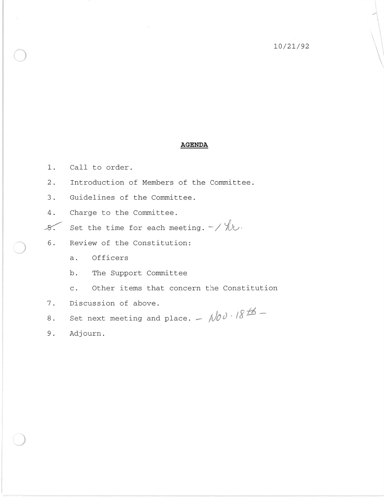## **AGENDA**

- 1. Call to order.
- 2. Introduction of Members of the Committee.
- 3. Guidelines of the Committee.
- 4. Charge to the Committee .
- $\mathcal{S}$ . Set the time for each meeting.  $-\frac{1}{2}$
- 6. Review of the Constitution:
	- a. Officers
	- b. The Support Committee
	- c. Other items that concern the Constitution
- 7. Discussion of above.
- 8. Set next meeting and place.  $-\sqrt{10}\theta \cdot 18^{16}$  -
- 9. Adjourn.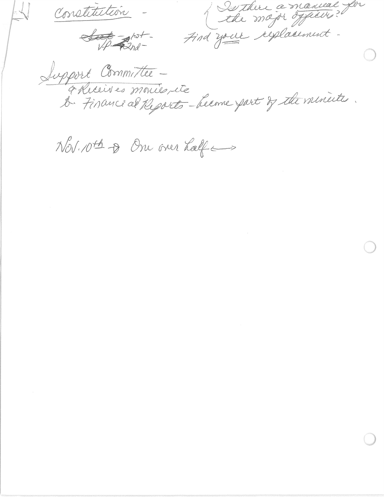Constitution

 $\frac{1}{\sqrt{2}}$ 

Le major dépender

Support Committee -<br>¿ Rueines monie, ite

Nov. 10th & One over half and